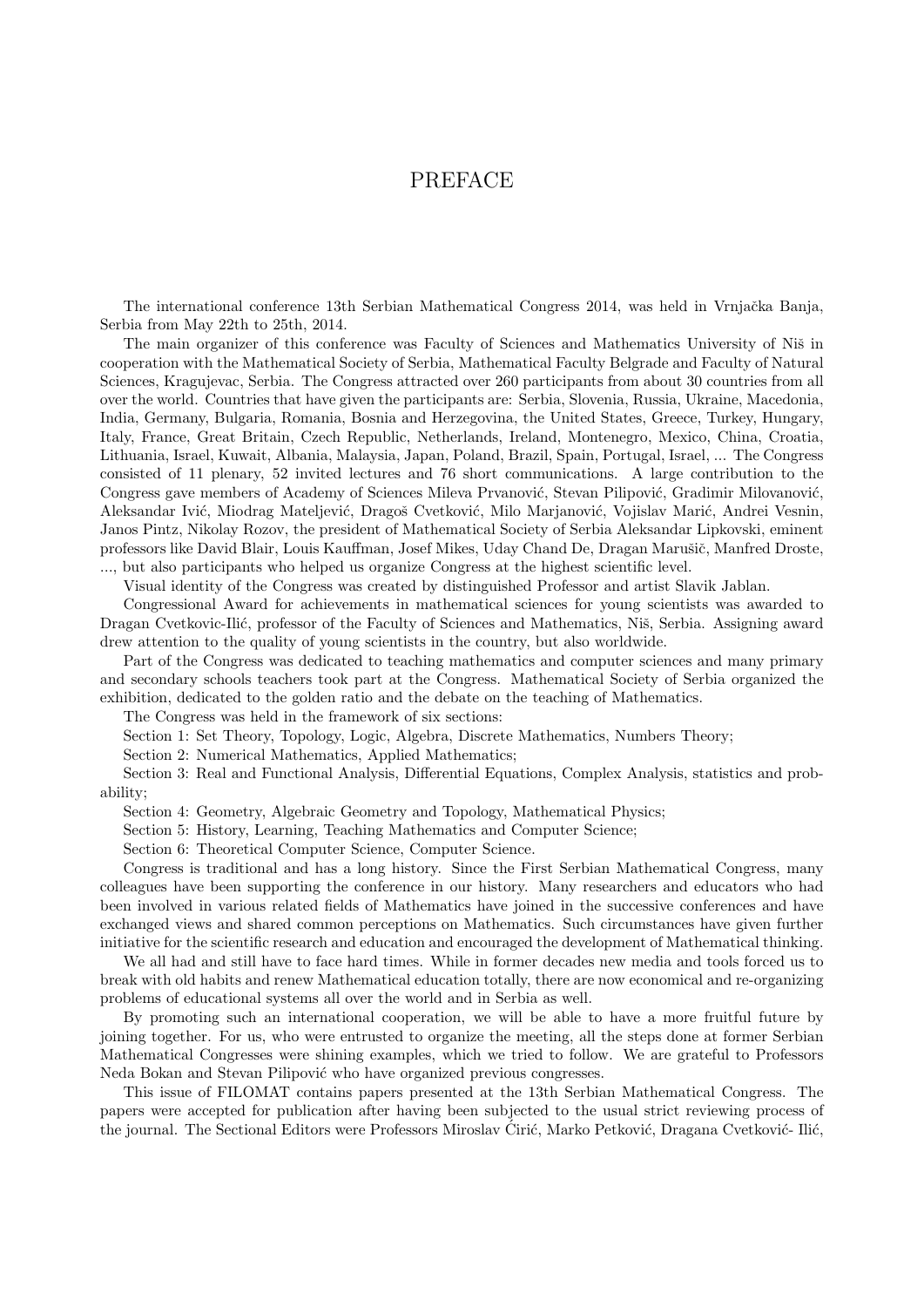## PREFACE

The international conference 13th Serbian Mathematical Congress 2014, was held in Vrnjačka Banja, Serbia from May 22th to 25th, 2014.

The main organizer of this conference was Faculty of Sciences and Mathematics University of Niš in cooperation with the Mathematical Society of Serbia, Mathematical Faculty Belgrade and Faculty of Natural Sciences, Kragujevac, Serbia. The Congress attracted over 260 participants from about 30 countries from all over the world. Countries that have given the participants are: Serbia, Slovenia, Russia, Ukraine, Macedonia, India, Germany, Bulgaria, Romania, Bosnia and Herzegovina, the United States, Greece, Turkey, Hungary, Italy, France, Great Britain, Czech Republic, Netherlands, Ireland, Montenegro, Mexico, China, Croatia, Lithuania, Israel, Kuwait, Albania, Malaysia, Japan, Poland, Brazil, Spain, Portugal, Israel, ... The Congress consisted of 11 plenary, 52 invited lectures and 76 short communications. A large contribution to the Congress gave members of Academy of Sciences Mileva Prvanović, Stevan Pilipović, Gradimir Milovanović, Aleksandar Ivić, Miodrag Mateljević, Dragoš Cvetković, Milo Marjanović, Vojislav Marić, Andrei Vesnin, Janos Pintz, Nikolay Rozov, the president of Mathematical Society of Serbia Aleksandar Lipkovski, eminent professors like David Blair, Louis Kauffman, Josef Mikes, Uday Chand De, Dragan Marušič, Manfred Droste, ..., but also participants who helped us organize Congress at the highest scientific level.

Visual identity of the Congress was created by distinguished Professor and artist Slavik Jablan.

Congressional Award for achievements in mathematical sciences for young scientists was awarded to Dragan Cvetkovic-Ilić, professor of the Faculty of Sciences and Mathematics, Niš, Serbia. Assigning award drew attention to the quality of young scientists in the country, but also worldwide.

Part of the Congress was dedicated to teaching mathematics and computer sciences and many primary and secondary schools teachers took part at the Congress. Mathematical Society of Serbia organized the exhibition, dedicated to the golden ratio and the debate on the teaching of Mathematics.

The Congress was held in the framework of six sections:

Section 1: Set Theory, Topology, Logic, Algebra, Discrete Mathematics, Numbers Theory;

Section 2: Numerical Mathematics, Applied Mathematics;

Section 3: Real and Functional Analysis, Differential Equations, Complex Analysis, statistics and probability;

Section 4: Geometry, Algebraic Geometry and Topology, Mathematical Physics;

Section 5: History, Learning, Teaching Mathematics and Computer Science;

Section 6: Theoretical Computer Science, Computer Science.

Congress is traditional and has a long history. Since the First Serbian Mathematical Congress, many colleagues have been supporting the conference in our history. Many researchers and educators who had been involved in various related fields of Mathematics have joined in the successive conferences and have exchanged views and shared common perceptions on Mathematics. Such circumstances have given further initiative for the scientific research and education and encouraged the development of Mathematical thinking.

We all had and still have to face hard times. While in former decades new media and tools forced us to break with old habits and renew Mathematical education totally, there are now economical and re-organizing problems of educational systems all over the world and in Serbia as well.

By promoting such an international cooperation, we will be able to have a more fruitful future by joining together. For us, who were entrusted to organize the meeting, all the steps done at former Serbian Mathematical Congresses were shining examples, which we tried to follow. We are grateful to Professors Neda Bokan and Stevan Pilipović who have organized previous congresses.

This issue of FILOMAT contains papers presented at the 13th Serbian Mathematical Congress. The papers were accepted for publication after having been subjected to the usual strict reviewing process of the journal. The Sectional Editors were Professors Miroslav Ćirić, Marko Petković, Dragana Cvetković- Ilić,